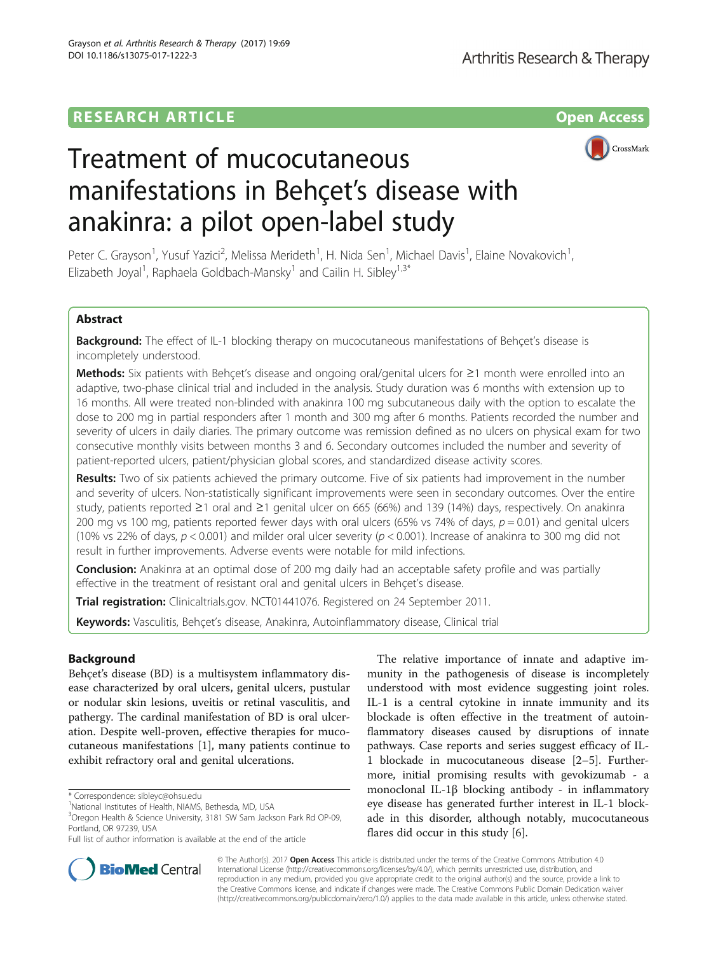## **RESEARCH ARTICLE Example 2014 12:30 The Contract of Contract ACCESS**



# Treatment of mucocutaneous manifestations in Behçet's disease with anakinra: a pilot open-label study

Peter C. Grayson<sup>1</sup>, Yusuf Yazici<sup>2</sup>, Melissa Merideth<sup>1</sup>, H. Nida Sen<sup>1</sup>, Michael Davis<sup>1</sup>, Elaine Novakovich<sup>1</sup> , Elizabeth Joyal<sup>1</sup>, Raphaela Goldbach-Mansky<sup>1</sup> and Cailin H. Sibley<sup>1,3\*</sup>

## Abstract

Background: The effect of IL-1 blocking therapy on mucocutaneous manifestations of Behçet's disease is incompletely understood.

Methods: Six patients with Behçet's disease and ongoing oral/genital ulcers for ≥1 month were enrolled into an adaptive, two-phase clinical trial and included in the analysis. Study duration was 6 months with extension up to 16 months. All were treated non-blinded with anakinra 100 mg subcutaneous daily with the option to escalate the dose to 200 mg in partial responders after 1 month and 300 mg after 6 months. Patients recorded the number and severity of ulcers in daily diaries. The primary outcome was remission defined as no ulcers on physical exam for two consecutive monthly visits between months 3 and 6. Secondary outcomes included the number and severity of patient-reported ulcers, patient/physician global scores, and standardized disease activity scores.

Results: Two of six patients achieved the primary outcome. Five of six patients had improvement in the number and severity of ulcers. Non-statistically significant improvements were seen in secondary outcomes. Over the entire study, patients reported ≥1 oral and ≥1 genital ulcer on 665 (66%) and 139 (14%) days, respectively. On anakinra 200 mg vs 100 mg, patients reported fewer days with oral ulcers (65% vs 74% of days,  $p = 0.01$ ) and genital ulcers (10% vs 22% of days,  $p < 0.001$ ) and milder oral ulcer severity ( $p < 0.001$ ). Increase of anakinra to 300 mg did not result in further improvements. Adverse events were notable for mild infections.

**Conclusion:** Anakinra at an optimal dose of 200 mg daily had an acceptable safety profile and was partially effective in the treatment of resistant oral and genital ulcers in Behçet's disease.

Trial registration: Clinicaltrials.gov. [NCT01441076](https://clinicaltrials.gov/ct2/show/NCT01441076). Registered on 24 September 2011.

Keywords: Vasculitis, Behçet's disease, Anakinra, Autoinflammatory disease, Clinical trial

## Background

Behçet's disease (BD) is a multisystem inflammatory disease characterized by oral ulcers, genital ulcers, pustular or nodular skin lesions, uveitis or retinal vasculitis, and pathergy. The cardinal manifestation of BD is oral ulceration. Despite well-proven, effective therapies for mucocutaneous manifestations [\[1](#page-6-0)], many patients continue to exhibit refractory oral and genital ulcerations.

The relative importance of innate and adaptive immunity in the pathogenesis of disease is incompletely understood with most evidence suggesting joint roles. IL-1 is a central cytokine in innate immunity and its blockade is often effective in the treatment of autoinflammatory diseases caused by disruptions of innate pathways. Case reports and series suggest efficacy of IL-1 blockade in mucocutaneous disease [[2](#page-6-0)–[5\]](#page-6-0). Furthermore, initial promising results with gevokizumab - a monoclonal IL-1β blocking antibody - in inflammatory eye disease has generated further interest in IL-1 blockade in this disorder, although notably, mucocutaneous flares did occur in this study [[6\]](#page-6-0).



© The Author(s). 2017 **Open Access** This article is distributed under the terms of the Creative Commons Attribution 4.0 International License [\(http://creativecommons.org/licenses/by/4.0/](http://creativecommons.org/licenses/by/4.0/)), which permits unrestricted use, distribution, and reproduction in any medium, provided you give appropriate credit to the original author(s) and the source, provide a link to the Creative Commons license, and indicate if changes were made. The Creative Commons Public Domain Dedication waiver [\(http://creativecommons.org/publicdomain/zero/1.0/](http://creativecommons.org/publicdomain/zero/1.0/)) applies to the data made available in this article, unless otherwise stated.

<sup>\*</sup> Correspondence: [sibleyc@ohsu.edu](mailto:sibleyc@ohsu.edu) <sup>1</sup>

<sup>&</sup>lt;sup>1</sup>National Institutes of Health, NIAMS, Bethesda, MD, USA

<sup>&</sup>lt;sup>3</sup>Oregon Health & Science University, 3181 SW Sam Jackson Park Rd OP-09, Portland, OR 97239, USA

Full list of author information is available at the end of the article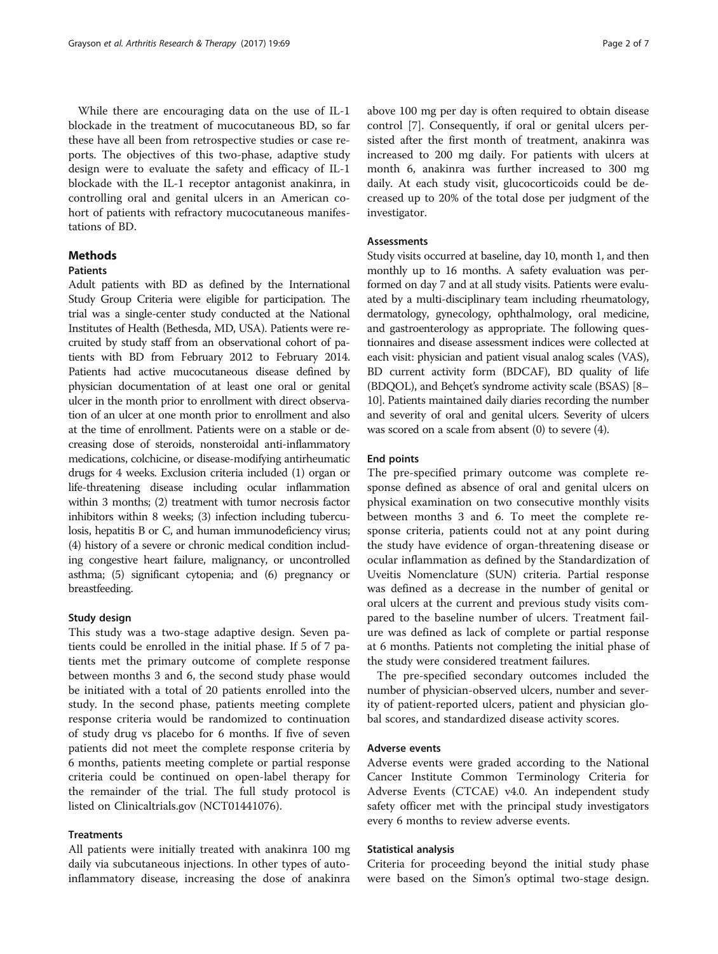While there are encouraging data on the use of IL-1 blockade in the treatment of mucocutaneous BD, so far these have all been from retrospective studies or case reports. The objectives of this two-phase, adaptive study design were to evaluate the safety and efficacy of IL-1 blockade with the IL-1 receptor antagonist anakinra, in controlling oral and genital ulcers in an American cohort of patients with refractory mucocutaneous manifestations of BD.

## **Methods**

## Patients

Adult patients with BD as defined by the International Study Group Criteria were eligible for participation. The trial was a single-center study conducted at the National Institutes of Health (Bethesda, MD, USA). Patients were recruited by study staff from an observational cohort of patients with BD from February 2012 to February 2014. Patients had active mucocutaneous disease defined by physician documentation of at least one oral or genital ulcer in the month prior to enrollment with direct observation of an ulcer at one month prior to enrollment and also at the time of enrollment. Patients were on a stable or decreasing dose of steroids, nonsteroidal anti-inflammatory medications, colchicine, or disease-modifying antirheumatic drugs for 4 weeks. Exclusion criteria included (1) organ or life-threatening disease including ocular inflammation within 3 months; (2) treatment with tumor necrosis factor inhibitors within 8 weeks; (3) infection including tuberculosis, hepatitis B or C, and human immunodeficiency virus; (4) history of a severe or chronic medical condition including congestive heart failure, malignancy, or uncontrolled asthma; (5) significant cytopenia; and (6) pregnancy or breastfeeding.

## Study design

This study was a two-stage adaptive design. Seven patients could be enrolled in the initial phase. If 5 of 7 patients met the primary outcome of complete response between months 3 and 6, the second study phase would be initiated with a total of 20 patients enrolled into the study. In the second phase, patients meeting complete response criteria would be randomized to continuation of study drug vs placebo for 6 months. If five of seven patients did not meet the complete response criteria by 6 months, patients meeting complete or partial response criteria could be continued on open-label therapy for the remainder of the trial. The full study protocol is listed on Clinicaltrials.gov (NCT01441076).

## **Treatments**

All patients were initially treated with anakinra 100 mg daily via subcutaneous injections. In other types of autoinflammatory disease, increasing the dose of anakinra above 100 mg per day is often required to obtain disease control [[7\]](#page-6-0). Consequently, if oral or genital ulcers persisted after the first month of treatment, anakinra was increased to 200 mg daily. For patients with ulcers at month 6, anakinra was further increased to 300 mg daily. At each study visit, glucocorticoids could be decreased up to 20% of the total dose per judgment of the investigator.

## Assessments

Study visits occurred at baseline, day 10, month 1, and then monthly up to 16 months. A safety evaluation was performed on day 7 and at all study visits. Patients were evaluated by a multi-disciplinary team including rheumatology, dermatology, gynecology, ophthalmology, oral medicine, and gastroenterology as appropriate. The following questionnaires and disease assessment indices were collected at each visit: physician and patient visual analog scales (VAS), BD current activity form (BDCAF), BD quality of life (BDQOL), and Behçet's syndrome activity scale (BSAS) [[8](#page-6-0)– [10](#page-6-0)]. Patients maintained daily diaries recording the number and severity of oral and genital ulcers. Severity of ulcers was scored on a scale from absent (0) to severe (4).

#### End points

The pre-specified primary outcome was complete response defined as absence of oral and genital ulcers on physical examination on two consecutive monthly visits between months 3 and 6. To meet the complete response criteria, patients could not at any point during the study have evidence of organ-threatening disease or ocular inflammation as defined by the Standardization of Uveitis Nomenclature (SUN) criteria. Partial response was defined as a decrease in the number of genital or oral ulcers at the current and previous study visits compared to the baseline number of ulcers. Treatment failure was defined as lack of complete or partial response at 6 months. Patients not completing the initial phase of the study were considered treatment failures.

The pre-specified secondary outcomes included the number of physician-observed ulcers, number and severity of patient-reported ulcers, patient and physician global scores, and standardized disease activity scores.

## Adverse events

Adverse events were graded according to the National Cancer Institute Common Terminology Criteria for Adverse Events (CTCAE) v4.0. An independent study safety officer met with the principal study investigators every 6 months to review adverse events.

#### Statistical analysis

Criteria for proceeding beyond the initial study phase were based on the Simon's optimal two-stage design.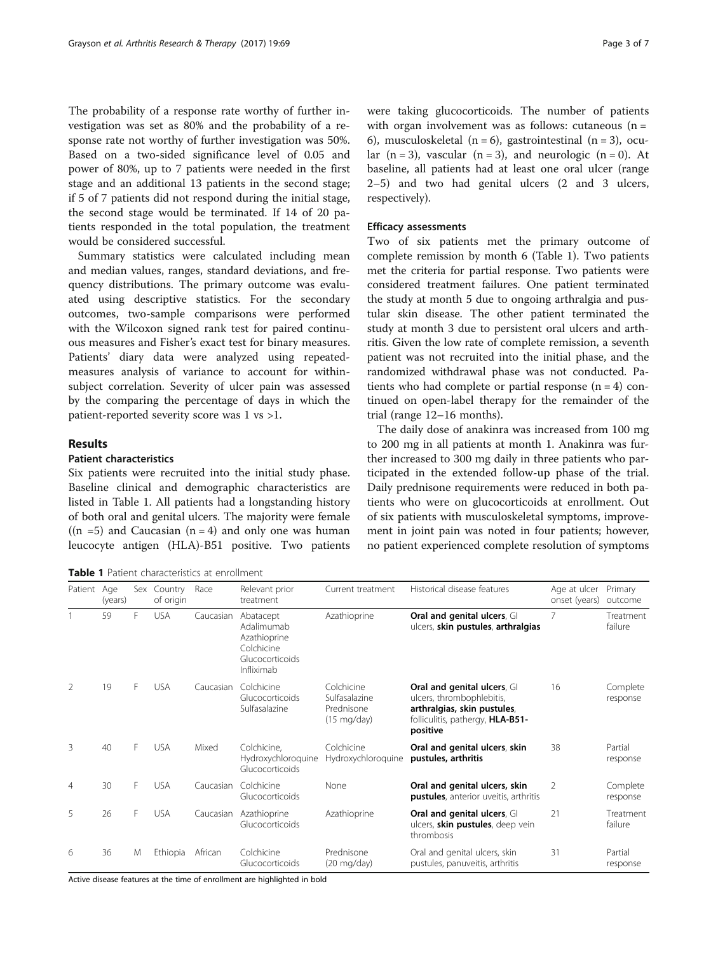The probability of a response rate worthy of further investigation was set as 80% and the probability of a response rate not worthy of further investigation was 50%. Based on a two-sided significance level of 0.05 and power of 80%, up to 7 patients were needed in the first stage and an additional 13 patients in the second stage; if 5 of 7 patients did not respond during the initial stage, the second stage would be terminated. If 14 of 20 patients responded in the total population, the treatment would be considered successful.

Summary statistics were calculated including mean and median values, ranges, standard deviations, and frequency distributions. The primary outcome was evaluated using descriptive statistics. For the secondary outcomes, two-sample comparisons were performed with the Wilcoxon signed rank test for paired continuous measures and Fisher's exact test for binary measures. Patients' diary data were analyzed using repeatedmeasures analysis of variance to account for withinsubject correlation. Severity of ulcer pain was assessed by the comparing the percentage of days in which the patient-reported severity score was 1 vs >1.

## Results

## Patient characteristics

Six patients were recruited into the initial study phase. Baseline clinical and demographic characteristics are listed in Table 1. All patients had a longstanding history of both oral and genital ulcers. The majority were female  $((n = 5)$  and Caucasian  $(n = 4)$  and only one was human leucocyte antigen (HLA)-B51 positive. Two patients

Table 1 Patient characteristics at enrollment

were taking glucocorticoids. The number of patients with organ involvement was as follows: cutaneous  $(n =$ 6), musculoskeletal  $(n = 6)$ , gastrointestinal  $(n = 3)$ , ocular  $(n = 3)$ , vascular  $(n = 3)$ , and neurologic  $(n = 0)$ . At baseline, all patients had at least one oral ulcer (range 2–5) and two had genital ulcers (2 and 3 ulcers, respectively).

#### Efficacy assessments

Two of six patients met the primary outcome of complete remission by month 6 (Table 1). Two patients met the criteria for partial response. Two patients were considered treatment failures. One patient terminated the study at month 5 due to ongoing arthralgia and pustular skin disease. The other patient terminated the study at month 3 due to persistent oral ulcers and arthritis. Given the low rate of complete remission, a seventh patient was not recruited into the initial phase, and the randomized withdrawal phase was not conducted. Patients who had complete or partial response  $(n = 4)$  continued on open-label therapy for the remainder of the trial (range 12–16 months).

The daily dose of anakinra was increased from 100 mg to 200 mg in all patients at month 1. Anakinra was further increased to 300 mg daily in three patients who participated in the extended follow-up phase of the trial. Daily prednisone requirements were reduced in both patients who were on glucocorticoids at enrollment. Out of six patients with musculoskeletal symptoms, improvement in joint pain was noted in four patients; however, no patient experienced complete resolution of symptoms

| Patient Age   | (years) | Sex | Country<br>of origin | Race      | Relevant prior<br>treatment                                                            | Current treatment                                                  | Historical disease features                                                                                                             | Age at ulcer<br>onset (years) | Primary<br>outcome   |
|---------------|---------|-----|----------------------|-----------|----------------------------------------------------------------------------------------|--------------------------------------------------------------------|-----------------------------------------------------------------------------------------------------------------------------------------|-------------------------------|----------------------|
|               | 59      | F   | <b>USA</b>           | Caucasian | Abatacept<br>Adalimumab<br>Azathioprine<br>Colchicine<br>Glucocorticoids<br>Infliximab | Azathioprine                                                       | Oral and genital ulcers, GI<br>ulcers, skin pustules, arthralgias                                                                       | $\overline{7}$                | Treatment<br>failure |
| $\mathcal{P}$ | 19      | F   | <b>USA</b>           | Caucasian | Colchicine<br>Glucocorticoids<br>Sulfasalazine                                         | Colchicine<br>Sulfasalazine<br>Prednisone<br>$(15 \text{ mg/day})$ | Oral and genital ulcers, GI<br>ulcers, thrombophlebitis,<br>arthralgias, skin pustules,<br>folliculitis, pathergy, HLA-B51-<br>positive | 16                            | Complete<br>response |
| 3             | 40      | F   | <b>USA</b>           | Mixed     | Colchicine.<br>Hydroxychloroquine<br>Glucocorticoids                                   | Colchicine<br>Hydroxychloroquine                                   | Oral and genital ulcers, skin<br>pustules, arthritis                                                                                    | 38                            | Partial<br>response  |
| 4             | 30      | F   | <b>USA</b>           | Caucasian | Colchicine<br>Glucocorticoids                                                          | None                                                               | Oral and genital ulcers, skin<br>pustules, anterior uveitis, arthritis                                                                  | $\mathcal{P}$                 | Complete<br>response |
| 5             | 26      | F   | <b>USA</b>           | Caucasian | Azathioprine<br>Glucocorticoids                                                        | Azathioprine                                                       | Oral and genital ulcers, GI<br>ulcers, skin pustules, deep vein<br>thrombosis                                                           | 21                            | Treatment<br>failure |
| 6             | 36      | M   | Ethiopia             | African   | Colchicine<br>Glucocorticoids                                                          | Prednisone<br>$(20 \text{ mg/day})$                                | Oral and genital ulcers, skin<br>pustules, panuveitis, arthritis                                                                        | 31                            | Partial<br>response  |

Active disease features at the time of enrollment are highlighted in bold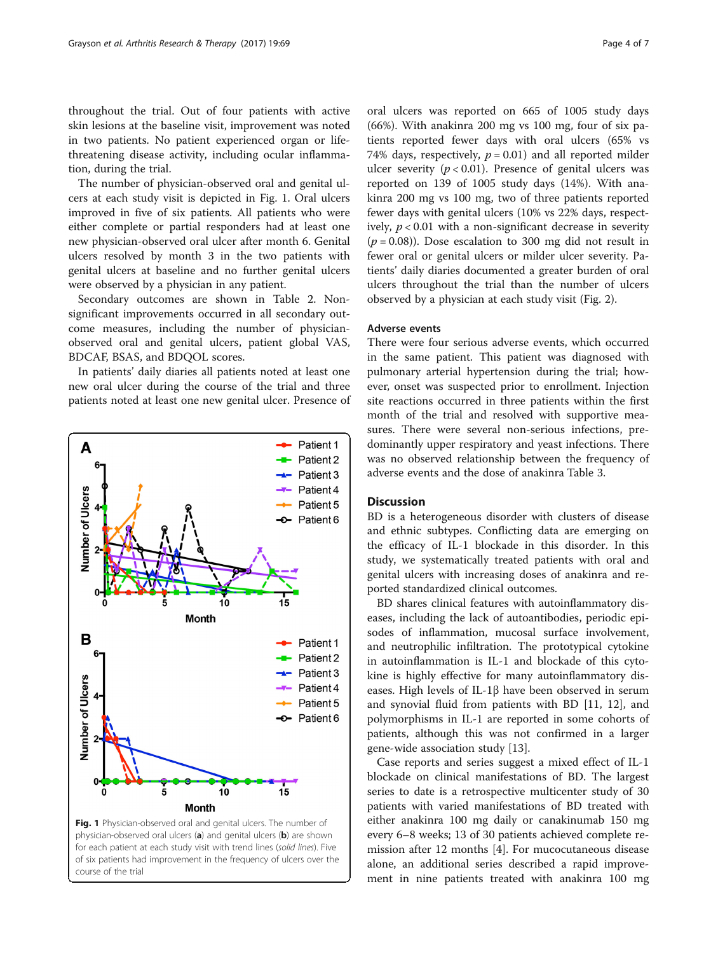throughout the trial. Out of four patients with active skin lesions at the baseline visit, improvement was noted in two patients. No patient experienced organ or lifethreatening disease activity, including ocular inflammation, during the trial.

The number of physician-observed oral and genital ulcers at each study visit is depicted in Fig. 1. Oral ulcers improved in five of six patients. All patients who were either complete or partial responders had at least one new physician-observed oral ulcer after month 6. Genital ulcers resolved by month 3 in the two patients with genital ulcers at baseline and no further genital ulcers were observed by a physician in any patient.

Secondary outcomes are shown in Table [2](#page-4-0). Nonsignificant improvements occurred in all secondary outcome measures, including the number of physicianobserved oral and genital ulcers, patient global VAS, BDCAF, BSAS, and BDQOL scores.

In patients' daily diaries all patients noted at least one new oral ulcer during the course of the trial and three patients noted at least one new genital ulcer. Presence of



Fig. 1 Physician-observed oral and genital ulcers. The number of physician-observed oral ulcers (a) and genital ulcers (b) are shown for each patient at each study visit with trend lines (solid lines). Five of six patients had improvement in the frequency of ulcers over the course of the trial

oral ulcers was reported on 665 of 1005 study days (66%). With anakinra 200 mg vs 100 mg, four of six patients reported fewer days with oral ulcers (65% vs 74% days, respectively,  $p = 0.01$ ) and all reported milder ulcer severity ( $p < 0.01$ ). Presence of genital ulcers was reported on 139 of 1005 study days (14%). With anakinra 200 mg vs 100 mg, two of three patients reported fewer days with genital ulcers (10% vs 22% days, respectively,  $p < 0.01$  with a non-significant decrease in severity  $(p = 0.08)$ ). Dose escalation to 300 mg did not result in fewer oral or genital ulcers or milder ulcer severity. Patients' daily diaries documented a greater burden of oral ulcers throughout the trial than the number of ulcers observed by a physician at each study visit (Fig. [2\)](#page-4-0).

## Adverse events

There were four serious adverse events, which occurred in the same patient. This patient was diagnosed with pulmonary arterial hypertension during the trial; however, onset was suspected prior to enrollment. Injection site reactions occurred in three patients within the first month of the trial and resolved with supportive measures. There were several non-serious infections, predominantly upper respiratory and yeast infections. There was no observed relationship between the frequency of adverse events and the dose of anakinra Table [3](#page-4-0).

## **Discussion**

BD is a heterogeneous disorder with clusters of disease and ethnic subtypes. Conflicting data are emerging on the efficacy of IL-1 blockade in this disorder. In this study, we systematically treated patients with oral and genital ulcers with increasing doses of anakinra and reported standardized clinical outcomes.

BD shares clinical features with autoinflammatory diseases, including the lack of autoantibodies, periodic episodes of inflammation, mucosal surface involvement, and neutrophilic infiltration. The prototypical cytokine in autoinflammation is IL-1 and blockade of this cytokine is highly effective for many autoinflammatory diseases. High levels of IL-1β have been observed in serum and synovial fluid from patients with BD [[11, 12\]](#page-6-0), and polymorphisms in IL-1 are reported in some cohorts of patients, although this was not confirmed in a larger gene-wide association study [[13\]](#page-6-0).

Case reports and series suggest a mixed effect of IL-1 blockade on clinical manifestations of BD. The largest series to date is a retrospective multicenter study of 30 patients with varied manifestations of BD treated with either anakinra 100 mg daily or canakinumab 150 mg every 6–8 weeks; 13 of 30 patients achieved complete remission after 12 months [[4\]](#page-6-0). For mucocutaneous disease alone, an additional series described a rapid improvement in nine patients treated with anakinra 100 mg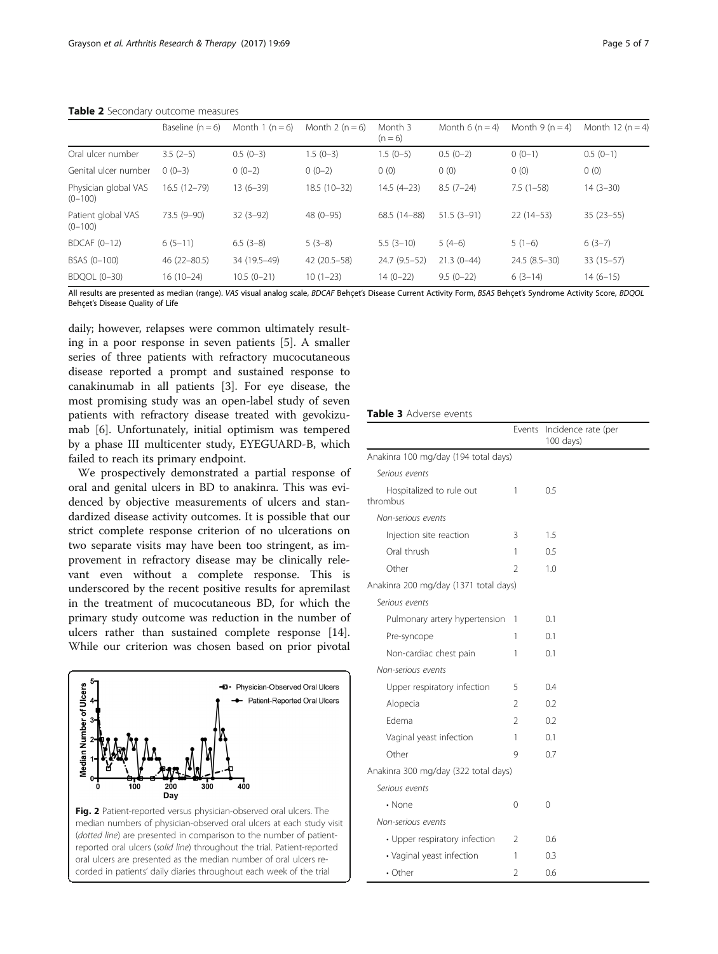|                                     | Baseline $(n = 6)$ | Month 1 $(n = 6)$ | Month 2 ( $n = 6$ ) | Month 3<br>$(n = 6)$ | Month 6 $(n = 4)$ | Month 9 $(n = 4)$ | Month 12 $(n = 4)$ |
|-------------------------------------|--------------------|-------------------|---------------------|----------------------|-------------------|-------------------|--------------------|
| Oral ulcer number                   | $3.5(2-5)$         | $0.5(0-3)$        | $1.5(0-3)$          | $1.5(0-5)$           | $0.5(0-2)$        | $0(0-1)$          | $0.5(0-1)$         |
| Genital ulcer number                | $0(0-3)$           | $0(0-2)$          | $0(0-2)$            | 0(0)                 | 0(0)              | 0(0)              | 0(0)               |
| Physician global VAS<br>$(0 - 100)$ | $16.5(12-79)$      | $13(6-39)$        | $18.5(10-32)$       | $14.5(4-23)$         | $8.5(7-24)$       | $7.5(1-58)$       | $14(3-30)$         |
| Patient global VAS<br>$(0 - 100)$   | $73.5(9-90)$       | $32(3-92)$        | 48 (0-95)           | 68.5 (14-88)         | $51.5(3-91)$      | $22(14-53)$       | $35(23-55)$        |
| $BDCAF (0-12)$                      | $6(5-11)$          | $6.5(3-8)$        | $5(3-8)$            | $5.5(3-10)$          | $5(4-6)$          | $5(1-6)$          | $6(3-7)$           |
| BSAS (0-100)                        | $46(22 - 80.5)$    | 34 (19.5-49)      | 42 (20.5 - 58)      | 24.7 (9.5-52)        | $21.3(0-44)$      | $24.5(8.5-30)$    | $33(15-57)$        |
| BDQOL (0-30)                        | $16(10-24)$        | $10.5(0-21)$      | $10(1-23)$          | $14(0-22)$           | $9.5(0-22)$       | $6(3-14)$         | $14(6-15)$         |

<span id="page-4-0"></span>Table 2 Secondary outcome measures

All results are presented as median (range). VAS visual analog scale, BDCAF Behçet's Disease Current Activity Form, BSAS Behçet's Syndrome Activity Score, BDQOL Behçet's Disease Quality of Life

daily; however, relapses were common ultimately resulting in a poor response in seven patients [[5](#page-6-0)]. A smaller series of three patients with refractory mucocutaneous disease reported a prompt and sustained response to canakinumab in all patients [[3\]](#page-6-0). For eye disease, the most promising study was an open-label study of seven patients with refractory disease treated with gevokizumab [\[6](#page-6-0)]. Unfortunately, initial optimism was tempered by a phase III multicenter study, EYEGUARD-B, which failed to reach its primary endpoint.

We prospectively demonstrated a partial response of oral and genital ulcers in BD to anakinra. This was evidenced by objective measurements of ulcers and standardized disease activity outcomes. It is possible that our strict complete response criterion of no ulcerations on two separate visits may have been too stringent, as improvement in refractory disease may be clinically relevant even without a complete response. This is underscored by the recent positive results for apremilast in the treatment of mucocutaneous BD, for which the primary study outcome was reduction in the number of ulcers rather than sustained complete response [\[14](#page-6-0)]. While our criterion was chosen based on prior pivotal





## Table 3 Adverse events

|                                       | Events         | Incidence rate (per<br>100 days) |  |  |  |  |
|---------------------------------------|----------------|----------------------------------|--|--|--|--|
| Anakinra 100 mg/day (194 total days)  |                |                                  |  |  |  |  |
| Serious events                        |                |                                  |  |  |  |  |
| Hospitalized to rule out<br>thrombus  | 1              | 0.5                              |  |  |  |  |
| Non-serious events                    |                |                                  |  |  |  |  |
| Injection site reaction               | 3              | 1.5                              |  |  |  |  |
| Oral thrush                           | 1              | 0.5                              |  |  |  |  |
| Other                                 | $\mathcal{P}$  | 1.0                              |  |  |  |  |
| Anakinra 200 mg/day (1371 total days) |                |                                  |  |  |  |  |
| Serious events                        |                |                                  |  |  |  |  |
| Pulmonary artery hypertension         | 1              | 0.1                              |  |  |  |  |
| Pre-syncope                           | 1              | 0.1                              |  |  |  |  |
| Non-cardiac chest pain                | 1              | 0.1                              |  |  |  |  |
| Non-serious events                    |                |                                  |  |  |  |  |
| Upper respiratory infection           | 5              | 0.4                              |  |  |  |  |
| Alopecia                              | 2              | 0.2                              |  |  |  |  |
| Edema                                 | $\mathfrak{D}$ | 0.2                              |  |  |  |  |
| Vaginal yeast infection               | 1              | 0.1                              |  |  |  |  |
| Other                                 | 9              | 0.7                              |  |  |  |  |
| Anakinra 300 mg/day (322 total days)  |                |                                  |  |  |  |  |
| Serious events                        |                |                                  |  |  |  |  |
| • None                                | 0              | 0                                |  |  |  |  |
| Non-serious events                    |                |                                  |  |  |  |  |
| • Upper respiratory infection         | $\mathcal{P}$  | 0.6                              |  |  |  |  |
| • Vaginal yeast infection             | 1              | 0.3                              |  |  |  |  |
| • Other                               | $\mathcal{P}$  | 0.6                              |  |  |  |  |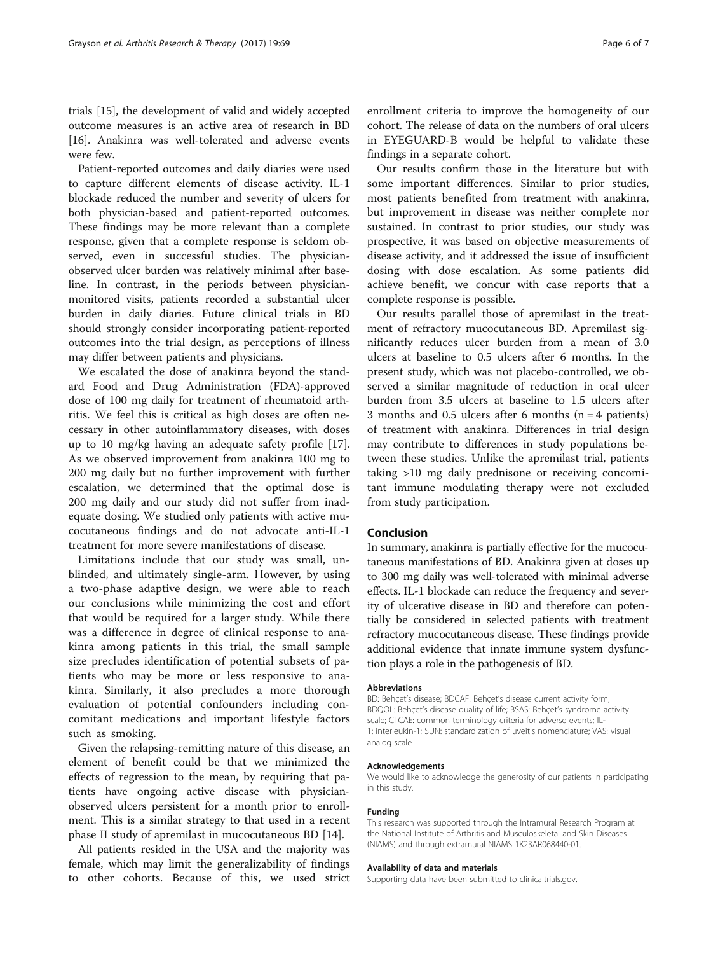trials [\[15](#page-6-0)], the development of valid and widely accepted outcome measures is an active area of research in BD [[16\]](#page-6-0). Anakinra was well-tolerated and adverse events were few.

Patient-reported outcomes and daily diaries were used to capture different elements of disease activity. IL-1 blockade reduced the number and severity of ulcers for both physician-based and patient-reported outcomes. These findings may be more relevant than a complete response, given that a complete response is seldom observed, even in successful studies. The physicianobserved ulcer burden was relatively minimal after baseline. In contrast, in the periods between physicianmonitored visits, patients recorded a substantial ulcer burden in daily diaries. Future clinical trials in BD should strongly consider incorporating patient-reported outcomes into the trial design, as perceptions of illness may differ between patients and physicians.

We escalated the dose of anakinra beyond the standard Food and Drug Administration (FDA)-approved dose of 100 mg daily for treatment of rheumatoid arthritis. We feel this is critical as high doses are often necessary in other autoinflammatory diseases, with doses up to 10 mg/kg having an adequate safety profile [\[17](#page-6-0)]. As we observed improvement from anakinra 100 mg to 200 mg daily but no further improvement with further escalation, we determined that the optimal dose is 200 mg daily and our study did not suffer from inadequate dosing. We studied only patients with active mucocutaneous findings and do not advocate anti-IL-1 treatment for more severe manifestations of disease.

Limitations include that our study was small, unblinded, and ultimately single-arm. However, by using a two-phase adaptive design, we were able to reach our conclusions while minimizing the cost and effort that would be required for a larger study. While there was a difference in degree of clinical response to anakinra among patients in this trial, the small sample size precludes identification of potential subsets of patients who may be more or less responsive to anakinra. Similarly, it also precludes a more thorough evaluation of potential confounders including concomitant medications and important lifestyle factors such as smoking.

Given the relapsing-remitting nature of this disease, an element of benefit could be that we minimized the effects of regression to the mean, by requiring that patients have ongoing active disease with physicianobserved ulcers persistent for a month prior to enrollment. This is a similar strategy to that used in a recent phase II study of apremilast in mucocutaneous BD [[14\]](#page-6-0).

All patients resided in the USA and the majority was female, which may limit the generalizability of findings to other cohorts. Because of this, we used strict

enrollment criteria to improve the homogeneity of our cohort. The release of data on the numbers of oral ulcers in EYEGUARD-B would be helpful to validate these findings in a separate cohort.

Our results confirm those in the literature but with some important differences. Similar to prior studies, most patients benefited from treatment with anakinra, but improvement in disease was neither complete nor sustained. In contrast to prior studies, our study was prospective, it was based on objective measurements of disease activity, and it addressed the issue of insufficient dosing with dose escalation. As some patients did achieve benefit, we concur with case reports that a complete response is possible.

Our results parallel those of apremilast in the treatment of refractory mucocutaneous BD. Apremilast significantly reduces ulcer burden from a mean of 3.0 ulcers at baseline to 0.5 ulcers after 6 months. In the present study, which was not placebo-controlled, we observed a similar magnitude of reduction in oral ulcer burden from 3.5 ulcers at baseline to 1.5 ulcers after 3 months and 0.5 ulcers after 6 months  $(n = 4$  patients) of treatment with anakinra. Differences in trial design may contribute to differences in study populations between these studies. Unlike the apremilast trial, patients taking >10 mg daily prednisone or receiving concomitant immune modulating therapy were not excluded from study participation.

## Conclusion

In summary, anakinra is partially effective for the mucocutaneous manifestations of BD. Anakinra given at doses up to 300 mg daily was well-tolerated with minimal adverse effects. IL-1 blockade can reduce the frequency and severity of ulcerative disease in BD and therefore can potentially be considered in selected patients with treatment refractory mucocutaneous disease. These findings provide additional evidence that innate immune system dysfunction plays a role in the pathogenesis of BD.

#### **Abbreviations**

BD: Behçet's disease; BDCAF: Behçet's disease current activity form; BDQOL: Behçet's disease quality of life; BSAS: Behçet's syndrome activity scale; CTCAE: common terminology criteria for adverse events; IL-1: interleukin-1; SUN: standardization of uveitis nomenclature; VAS: visual analog scale

#### Acknowledgements

We would like to acknowledge the generosity of our patients in participating in this study.

#### Funding

This research was supported through the Intramural Research Program at the National Institute of Arthritis and Musculoskeletal and Skin Diseases (NIAMS) and through extramural NIAMS 1K23AR068440-01.

#### Availability of data and materials

Supporting data have been submitted to clinicaltrials.gov.